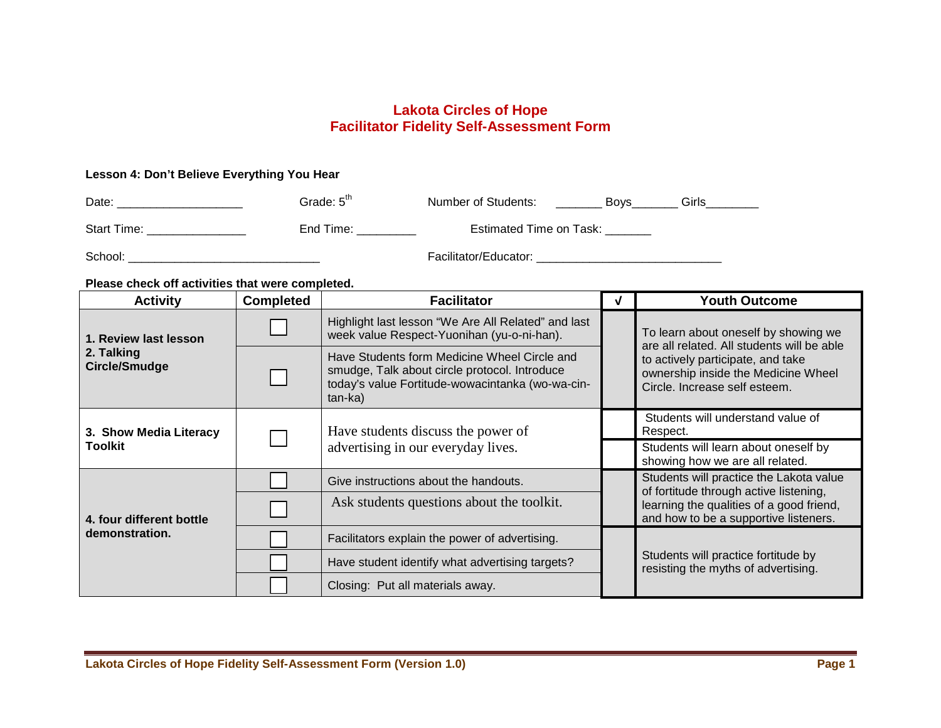## **Lakota Circles of Hope Facilitator Fidelity Self-Assessment Form**

## **Lesson 4: Don't Believe Everything You Hear**

| Date:       | Grade: 5 <sup>th</sup> | Number of Students:     | <b>Bovs</b> | Girls |
|-------------|------------------------|-------------------------|-------------|-------|
| Start Time: | End Time:              | Estimated Time on Task: |             |       |
| School:     |                        | Facilitator/Educator:   |             |       |

## **Please check off activities that were completed.**

| <b>Activity</b>                    | <b>Completed</b>                   | <b>Facilitator</b>                                                                                                                                                                                                                                                  |                                         | <b>Youth Outcome</b>                                                                                                                                                                            |  |
|------------------------------------|------------------------------------|---------------------------------------------------------------------------------------------------------------------------------------------------------------------------------------------------------------------------------------------------------------------|-----------------------------------------|-------------------------------------------------------------------------------------------------------------------------------------------------------------------------------------------------|--|
| 1. Review last lesson              |                                    | Highlight last lesson "We Are All Related" and last<br>week value Respect-Yuonihan (yu-o-ni-han).<br>Have Students form Medicine Wheel Circle and<br>smudge, Talk about circle protocol. Introduce<br>today's value Fortitude-wowacintanka (wo-wa-cin-<br>$tan-ka)$ |                                         | To learn about oneself by showing we<br>are all related. All students will be able<br>to actively participate, and take<br>ownership inside the Medicine Wheel<br>Circle, Increase self esteem. |  |
| 2. Talking<br><b>Circle/Smudge</b> |                                    |                                                                                                                                                                                                                                                                     |                                         |                                                                                                                                                                                                 |  |
| 3. Show Media Literacy             | Have students discuss the power of |                                                                                                                                                                                                                                                                     |                                         | Students will understand value of<br>Respect.                                                                                                                                                   |  |
| <b>Toolkit</b>                     |                                    | advertising in our everyday lives.                                                                                                                                                                                                                                  |                                         | Students will learn about oneself by<br>showing how we are all related.                                                                                                                         |  |
|                                    |                                    | Give instructions about the handouts.                                                                                                                                                                                                                               | Students will practice the Lakota value |                                                                                                                                                                                                 |  |
| 4. four different bottle           |                                    | Ask students questions about the toolkit.                                                                                                                                                                                                                           |                                         | of fortitude through active listening,<br>learning the qualities of a good friend,<br>and how to be a supportive listeners.                                                                     |  |
| demonstration.                     |                                    | Facilitators explain the power of advertising.                                                                                                                                                                                                                      |                                         | Students will practice fortitude by<br>resisting the myths of advertising.                                                                                                                      |  |
|                                    |                                    | Have student identify what advertising targets?                                                                                                                                                                                                                     |                                         |                                                                                                                                                                                                 |  |
|                                    |                                    | Closing: Put all materials away.                                                                                                                                                                                                                                    |                                         |                                                                                                                                                                                                 |  |